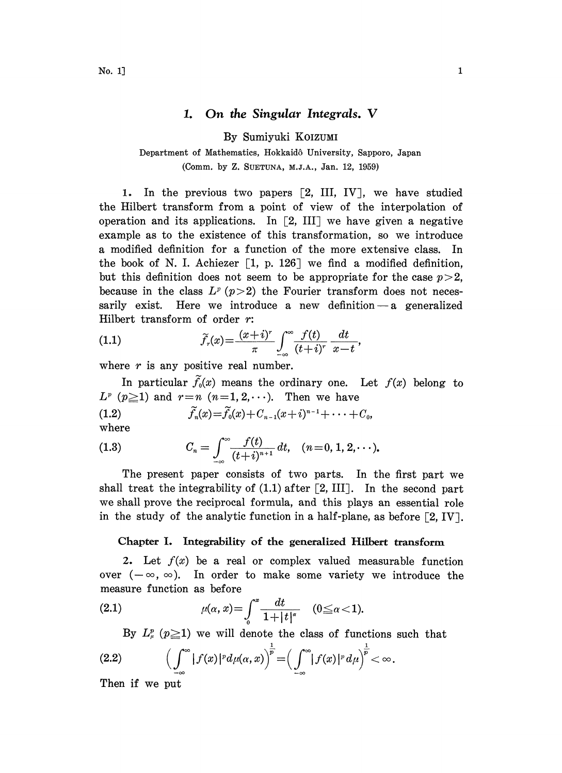## 1. On the Singular Integrals. V

By Sumiyuki KOIZUMI

# Department of Mathematics, Hokkaid6 University, Sapporo, Japan (Comm. by Z. SUETUNA, M.J.A., Jan. 12, 1959)

1. In the previous two papers  $[2, III, IV]$ , we have studied the Hilbert transform from a point of view of the interpolation of operation and its applications. In  $[2, III]$  we have given a negative example as to the existence of this transformation, so we introduce a modified definition for a function of the more extensive class. In the book of N. I. Achiezer  $\left[1, p. 126\right]$  we find a modified definition, but this definition does not seem to be appropriate for the case  $p>2$ , because in the class  $L^p$  (p > 2) the Fourier transform does not necessarily exist. Here we introduce a new definition  $-a$  generalized Hilbert transform of order r:

(1.1) 
$$
\widetilde{f}_r(x) = \frac{(x+i)^r}{\pi} \int_{-\infty}^{\infty} \frac{f(t)}{(t+i)^r} \frac{dt}{x-t},
$$

where  $r$  is any positive real number.

In particular  $\tilde{f}_0(x)$  means the ordinary one. Let  $f(x)$  belong to  $L^p$  ( $p\geq 1$ ) and  $r=n$  ( $n=1,2,\cdots$ ). Then we have

(1.2) 
$$
\widetilde{f}_n(x) = \widetilde{f}_0(x) + C_{n-1}(x+i)^{n-1} + \cdots + C_0,
$$

where

(1.3) 
$$
C_n = \int_{-\infty}^{\infty} \frac{f(t)}{(t+i)^{n+1}} dt, \quad (n = 0, 1, 2, \cdots).
$$

The present paper consists of two parts. In the first part we shall treat the integrability of  $(1.1)$  after [2, III]. In the second part we shall prove the reciprocal formula, and this plays an essential role in the study of the analytic function in a half-plane, as before  $[2, IV]$ .

### Chapter I. Integrability of the generalized Hilbert transform

2. Let  $f(x)$  be a real or complex valued measurable function over  $(-\infty, \infty)$ . In order to make some variety we introduce the measure function as before

(2.1) 
$$
\mu(\alpha, x) = \int_0^x \frac{dt}{1 + |t|^{\alpha}} \quad (0 \le \alpha < 1).
$$

By  $L^p_{\mu}$  ( $p\geq 1$ ) we will denote the class of functions such that

$$
(2.2) \qquad \Big(\int_{-\infty}^{\infty} |f(x)|^p d\mu(\alpha, x)\Big)^{\frac{1}{p}} = \Big(\int_{-\infty}^{\infty} |f(x)|^p d\mu\Big)^{\frac{1}{p}} < \infty
$$

Then if we put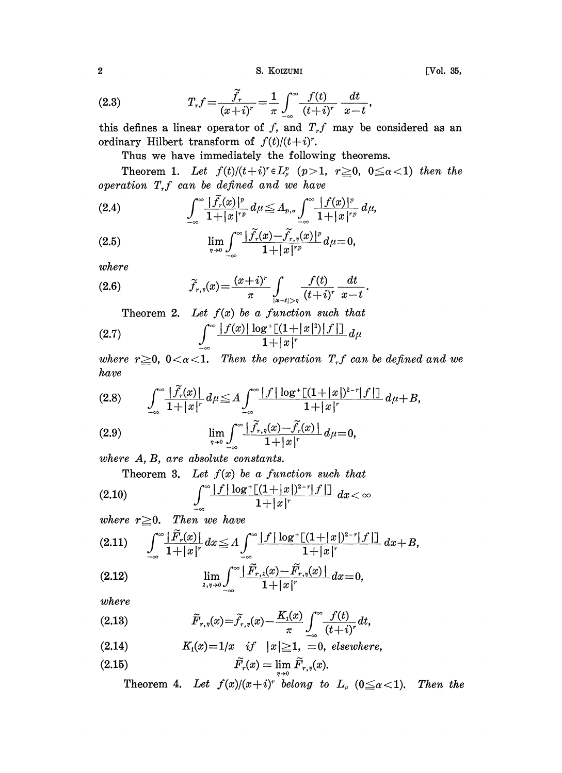2 S. KOIZUMI

(2.3) 
$$
T_r f = \frac{\tilde{f}_r}{(x+i)^r} = \frac{1}{\pi} \int_{-\infty}^{\infty} \frac{f(t)}{(t+i)^r} \frac{dt}{x-t},
$$

 $\begin{array}{c}\n\pi \int_{-\infty}^{\infty} (t + i)^r \ x - t' \\
f, \text{ and } T_r f \text{ may be} \\
(t)/(t + i)^r.\n\end{array}$ this defines a linear operator of  $f$ , and  $T_f$  may be considered as an ordinary Hilbert transform of  $f(t)/(t+i)^r$ .

Thus we have immediately the following theorems.

Theorem 1. Let  $f(t)/(t+i)^r \in L^p_\mu$   $(p>1, r \geq 0, 0 \leq \alpha < 1)$  then the operation  $T_{\tau}f$  can be defined and we have

$$
(2.4) \qquad \qquad \int_{-\infty}^{\infty} \frac{|\tilde{f}_{r}(x)|^{p}}{1+|x|^{rp}} d\mu \leq A_{p,\alpha} \int_{-\infty}^{\infty} \frac{|f(x)|^{p}}{1+|x|^{rp}} d\mu,
$$

$$
\lim_{\eta \to 0} \int_{-\infty}^{\infty} \frac{|\tilde{f}_r(x) - \tilde{f}_{r,\eta}(x)|^p}{1 + |x|^{rp}} d\mu = 0,
$$

where

(2.6) 
$$
\widetilde{f}_{r,\eta}(x) = \frac{(x+i)^r}{\pi} \int_{|x-t|>\eta} \frac{f(t)}{(t+i)^r} \frac{dt}{x-t}.
$$

Theorem 2. Let  $f(x)$  be a function such that

(2.7) 
$$
\int_{-\infty}^{\infty} \frac{|f(x)| \log^+[(1+|x|^2)|f|]}{1+|x|^r} d\mu
$$

where  $r\geq 0$ ,  $0<\alpha<1$ . Then the operation  $T_{rf}$  can be defined and we have

$$
(2.8) \qquad \int_{-\infty}^{\infty} \frac{|\tilde{f}_r(x)|}{1+|x|^r} d\mu \leq A \int_{-\infty}^{\infty} \frac{|f| \log^+[(1+|x|)^{2-r}|f|]}{1+|x|^r} d\mu + B,
$$

(2.9) 
$$
\lim_{\eta \to 0} \int_{-\infty}^{\infty} \frac{|\tilde{f}_{r,\eta}(x) - \tilde{f}_{r}(x)|}{1 + |x|^r} d\mu = 0,
$$

where  $A, B$ , are absolute constants.<br>Theorem 3. Let  $f(x)$  be a function such that

$$
(2.10) \qquad \qquad \int_{-\infty}^{\infty} \frac{|f| \log^+[(1+|x|)^{2-r}|f|]}{1+|x|^r} \, dx < \infty
$$

where 
$$
r \ge 0
$$
. Then we have  
\n(2.11) 
$$
\int_{-\infty}^{\infty} \frac{|\tilde{F}_r(x)|}{1+|x|^r} dx \le A \int_{-\infty}^{\infty} \frac{|f| \log^+[(1+|x|)^{2-r}|f|]}{1+|x|^r} dx + B,
$$

(2.12) 
$$
\lim_{\lambda,\eta\to 0} \int_{-\infty}^{\infty} \frac{|\tilde{F}_{r,\lambda}(x) - \tilde{F}_{r,\eta}(x)|}{1 + |x|^{r}} dx = 0,
$$

where

(2.13) 
$$
\widetilde{F}_{r,\eta}(x) = \widetilde{f}_{r,\eta}(x) - \frac{K_{1}(x)}{\pi} \int_{-\infty}^{\infty} \frac{f(t)}{(t+i)^{r}} dt,
$$

(2.14) 
$$
K_1(x)=1/x \quad \text{if} \quad |x|\geq 1, \ =0, \ \text{elsewhere,}
$$

$$
\widetilde{F}_r(x) = \lim_{n \to 0} \widetilde{F}_{r,n}(x).
$$

Theorem 4. Let  $f(x)/(x+i)^r$  belong to  $L_{\mu}$  ( $0 \leq \alpha < 1$ ). Then the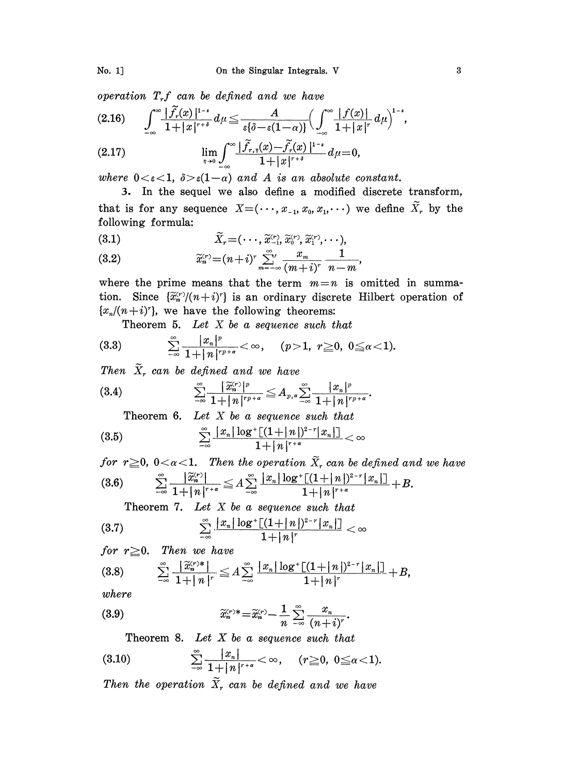operation  $T_r f$  can be defined and we have

$$
(2.16) \qquad \int_{-\infty}^{\infty} \frac{|\tilde{f}_r(x)|^{1-\epsilon}}{1+|x|^{r+\delta}} d\mu \leqq \frac{A}{\epsilon \{\delta - \epsilon (1-\alpha)\}} \Big(\int_{-\infty}^{\infty} \frac{|f(x)|}{1+|x|^r} d\mu\Big)^{1-\epsilon}
$$

(2.17) 
$$
\lim_{\eta \to 0} \int_{-\infty}^{\infty} \frac{|f_{r,\eta}(x) - f_r(x)|^{1-\epsilon}}{1 + |x|^{r+\delta}} d\mu = 0,
$$

where  $0 < \varepsilon < 1$ ,  $\delta > \varepsilon(1-\alpha)$  and A is an absolute constant.

3. In the sequel we also define a modified discrete transform, that is for any sequence  $X=(\cdots, x_{-1}, x_0, x_1,\cdots)$  we define  $\widetilde{X}_r$  by the following formula:

$$
\tilde{X}_r = (\cdots, \tilde{x}_{-1}^{(r)}, \tilde{x}_0^{(r)}, \tilde{x}_1^{(r)}, \cdots),
$$

(3.2) 
$$
\widetilde{x}_{n}^{(r)} = (n+i)^{r} \sum_{m=-\infty}^{\infty} \frac{x_{m}}{(m+i)^{r}} \frac{1}{n-m},
$$

where the prime means that the term  $m=n$  is omitted in summation. Since  $\{\tilde{x}_n^{(r)}/(n+i)^r\}$  is an ordinary discrete Hilbert operation of

Theorem 5. Let  $X$  be a sequence such that

$$
\{x_n/(n+i)^r\}, \text{ we have the following theorems:}
$$
  
Theorem 5. Let X be a sequence such that  
(3.3) 
$$
\sum_{-\infty}^{\infty} \frac{|x_n|^p}{1+|n|^{rp+\alpha}} < \infty, \quad (p>1, r \ge 0, 0 \le \alpha < 1).
$$

Then  $\widetilde{X}_r$  can be defined and we have

$$
\overline{z} = 1 + |n|^{rp + \alpha}
$$
\nThen

\n
$$
\widetilde{X}_r \text{ can be defined and we have}
$$
\n
$$
\sum_{-\infty}^{\infty} \frac{|\widetilde{X}_n^{(r)}|^p}{1 + |n|^{rp + \alpha}} \leq A_{p,\alpha} \sum_{-\infty}^{\infty} \frac{|x_n|^p}{1 + |n|^{rp + \alpha}}
$$

Theorem 6. Let  $X$  be a sequence such that

$$
(3.5) \qquad \qquad \sum_{-\infty}^{\infty}\frac{|x_n|\log^+[(1+|n|)^{2-r}|x_n|]}{1+|n|^{r+\alpha}} < \infty
$$

for  $r \geq 0$ ,  $0 < \alpha < 1$ . Then the operation  $\widetilde{X}_r$  can be defined and we have  $\sum_{-\infty}^{\infty} \frac{|\widetilde{x}_n^{(r)}|}{1+|n|^{r+\alpha}} \leq A \sum_{-\infty}^{\infty} \frac{|x_n| \log^+[(1+|n|)^{2-r}|x_n|]]}{1+|n|^{r+\alpha}} + B.$ <br>Theorem 7. Let X be a sequence such that  $(3.6)$ 

$$
\sum_{-\infty}^{\infty}\frac{|x_n|\log^+[(1+|n|)^{2-r}|x_n|]}{1+|n|^r}<\infty
$$

for 
$$
r \geq 0
$$
. Then we have

(3.8) 
$$
\sum_{-\infty}^{\infty} \frac{|\widetilde{x}_n^{(r)*}|}{1+|n|^r} \leq A \sum_{-\infty}^{\infty} \frac{|x_n| \log^+[(1+|n|)^{2-r}|x_n|]}{1+|n|^r} + B,
$$
  
where  
(3.9) 
$$
\widetilde{x}_n^{(r)*} = \widetilde{x}_n^{(r)} - \frac{1}{n} \sum_{-\infty}^{\infty} \frac{x_n}{(n+i)^r}.
$$
  
Theorem 8. Let X be a sequence such that

where

(3.9) 
$$
\widetilde{x}_n^{(r)*} = \widetilde{x}_n^{(r)} - \frac{1}{n} \sum_{-\infty}^{\infty} \frac{x_n}{(n+i)^r}.
$$

Theorem 8. Let  $X$  be a sequence such that

$$
(3.10) \qquad \qquad \sum_{-\infty}^{\infty}\frac{|x_n|}{1+|n|^{r+\alpha}}<\infty, \quad (r\geq 0, 0\leq \alpha<1).
$$

Then the operation  $\widetilde{X}_r$  can be defined and we have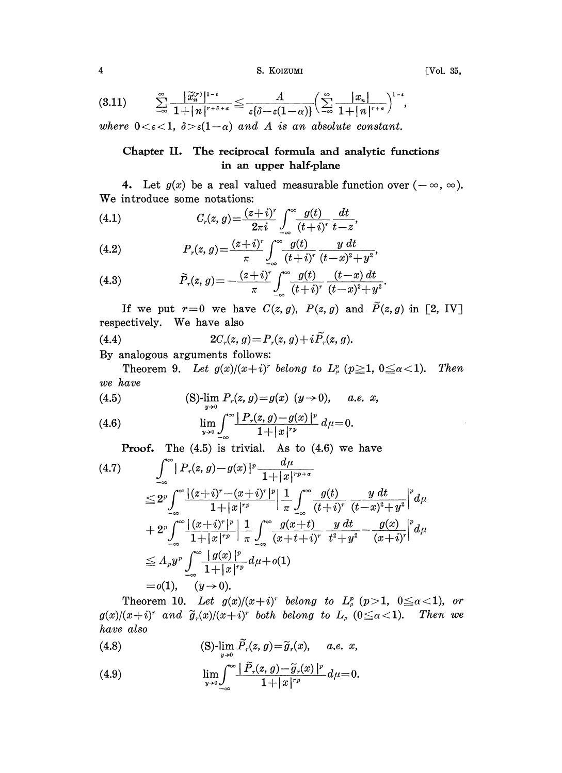4 S. KOIZUMI [Vol. 35,

(3.11)  $\sum_{-\infty}^{\infty} \frac{\left|\widetilde{x}_{n}^{(r)}\right|^{1-\epsilon}}{1+\left|n\right|^{r+\delta+\alpha}} \leqq \frac{A}{\epsilon \left\{\delta-\epsilon(1-\alpha)\right\}} \left(\sum_{-\infty}^{\infty} \frac{|x_n|}{1+\left|n\right|^{r+\alpha}}\right)^{1-\epsilon},$ where  $0 < \varepsilon < 1$ ,  $\delta > \varepsilon(1-\alpha)$  and A is an absolute constant.

## Chapter II. The reciprocal formula and analytic functions in an upper half-plane

4. Let  $g(x)$  be a real valued measurable function over  $(-\infty, \infty)$ . We introduce some notations:

(4.1) 
$$
C_r(z, g) = \frac{(z+i)^r}{2\pi i} \int_{-\infty}^{\infty} \frac{g(t)}{(t+i)^r} \frac{dt}{t-z},
$$

(4.2) 
$$
P_r(z, g) = \frac{(z+i)^r}{\pi} \int_{-\infty}^{\infty} \frac{g(t)}{(t+i)^r} \frac{y \, dt}{(t-x)^2 + y^2},
$$

(4.3) 
$$
\widetilde{P}_r(z, g) = -\frac{(z+i)^r}{\pi} \int_{-\infty}^{\infty} \frac{g(t)}{(t+i)^r} \frac{(t-x) dt}{(t-x)^2 + y^2}.
$$

If we put  $r=0$  we have  $C(z, g)$ ,  $P(z, g)$  and  $\widetilde{P}(z, g)$  in [2, IV]. respectively. We have also  $\sim$ 

(4.4) 
$$
2C_r(z, g) = P_r(z, g) + i\tilde{P}_r(z, g).
$$

By analogous arguments follows:

Theorem 9. Let  $g(x)/(x+i)^r$  belong to  $L^p_\mu$  ( $p\geq 1$ ,  $0\leq \alpha < 1$ ). Then we have

(4.5) (S)-
$$
\lim_{y\to 0} P_r(z, g) = g(x) (y \to 0), \quad a.e. x,
$$

(4.6) 
$$
\lim_{y \to 0} \int_{-\infty}^{\infty} \frac{|P_r(z, g) - g(x)|^p}{1 + |x|^{rp}} d\mu = 0.
$$

**Proof.** The  $(4.5)$  is trivial. As to  $(4.6)$  we have

$$
(4.7) \qquad \int_{-\infty}^{\infty} |P_r(z, g) - g(x)|^p \frac{d\mu}{1+|x|^{rp+\alpha}}
$$
  
\n
$$
\leq 2^p \int_{-\infty}^{\infty} \frac{|(z+i)^r - (x+i)^r|^p}{1+|x|^{rp}} \left| \frac{1}{\pi} \int_{-\infty}^{\infty} \frac{g(t)}{(t+i)^r} \frac{y \, dt}{(t-x)^2+y^2} \right|^p d\mu
$$
  
\n
$$
+ 2^p \int_{-\infty}^{\infty} \frac{|(x+i)^r|^p}{1+|x|^{rp}} \left| \frac{1}{\pi} \int_{-\infty}^{\infty} \frac{g(x+t)}{(x+t+i)^r} \frac{y \, dt}{t^2+y^2} - \frac{g(x)}{(x+i)^r} \right|^p d\mu
$$
  
\n
$$
\leq A_p y^p \int_{-\infty}^{\infty} \frac{|g(x)|^p}{1+|x|^{rp}} d\mu + o(1)
$$
  
\n
$$
= o(1), \quad (y \to 0).
$$

Theorem 10. Let  $g(x)/(x+i)^r$  belong to  $L^p_\mu$   $(p>1, 0 \leq \alpha < 1)$ , or  $g(x)/(x+i)^r$  and  $\tilde{g}_r(x)/(x+i)^r$  both belong to  $L_{\mu}$  ( $0 \le \alpha < 1$ ). have also Then we

(4.8) 
$$
(S)\lim_{y\to 0} \widetilde{P}_r(z, g) = \widetilde{g}_r(x), \quad a.e. x,
$$

$$
\lim_{y\to 0}\int_{-\infty}^{\infty}\frac{|\tilde{P}_r(z, g)-\tilde{g}_r(x)|^p}{1+|x|^{rp}}d\mu=0.
$$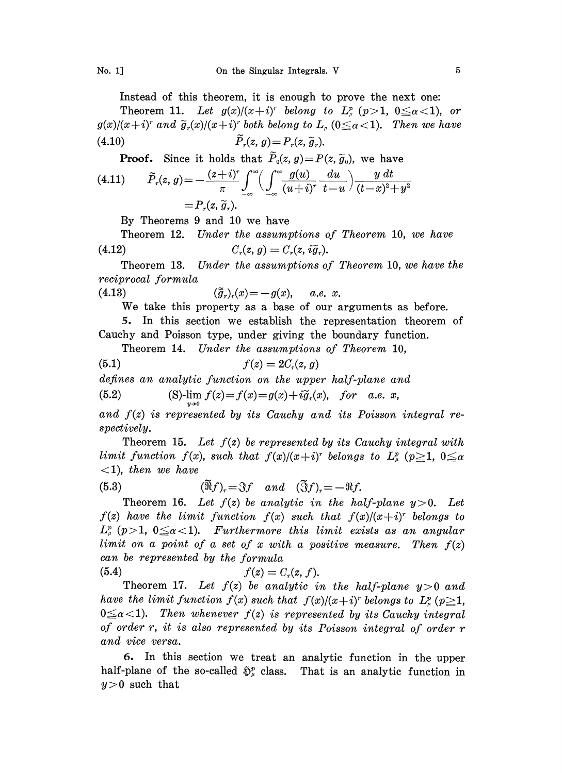Instead of this theorem, it is enough to prove the next one:

Theorem 11. Let  $g(x)/(x+i)^r$  belong to  $L^p_\mu$  ( $p>1$ ,  $0 \leq \alpha < 1$ ), or  $g(x)/(x+i)^r$  and  $\widetilde{g}_r(x)/(x+i)^r$  both belong to  $L_\mu$  ( $0 \leq \alpha < 1$ ). Then we have (4.10)  $\widetilde{P}_r(z, g) = P_r(z, \widetilde{g}_r).$ 

**Proof.** Since it holds that  $\widetilde{P}_0(z, g) = P(z, \widetilde{g}_0)$ , we have

(4.11) 
$$
\widetilde{P}_r(z, g) = -\frac{(z+i)^r}{\pi} \int_{-\infty}^{\infty} \left( \int_{-\infty}^{\infty} \frac{g(u)}{(u+i)^r} \frac{du}{t-u} \right) \frac{y dt}{(t-x)^2 + y^2}
$$

$$
= P_r(z, \widetilde{g}_r).
$$

By Theorems 9 and 10 we have

Theorem 12. Under the assumptions of Theorem 10, we have (4.12)  $C_r(z, g) = C_r(z, i\tilde{g}_r).$ 

Theorem 13. Under the assumptions of Theorem 10, we have the reciprocal formula

(4.13)  $(\tilde{\tilde{g}}_r)_r(x) = -g(x), \quad a.e. \; x.$ 

We take this property as <sup>a</sup> base of our arguments as before.

5. In this section we establish the representation theorem of Cauchy and Poisson type, under giving the boundary function.

Theorem 14. Under the assumptions of Theorem 10,

$$
(5.1) \t\t f(z) = 2Cr(z, g)
$$

defines an analytic function on the upper half-plane and

(5.2) (S)-
$$
\lim f(z) = f(x) = g(x) + i\tilde{g}_r(x)
$$
, for a.e. x,

and  $f(z)$  is represented by its Cauchy and its Poisson integral respectively.

Theorem 15. Let  $f(z)$  be represented by its Cauchy integral with limit function  $f(x)$ , such that  $f(x)/(x+i)^r$  belongs to  $L^p_\mu$  ( $p\geq 1$ ,  $0\leq \alpha$  $\langle 1 \rangle$ , then we have

(5.3) 
$$
(\widetilde{\mathfrak{R}}f)_r = \mathfrak{F}f
$$
 and  $(\widetilde{\mathfrak{F}}f)_r = -\mathfrak{R}f$ .

Theorem 16. Let  $f(z)$  be analytic in the half-plane  $y > 0$ . Let  $f(z)$  have the limit function  $f(x)$  such that  $f(x)/(x+i)^r$  belongs to  $L^p_\mu$  (p>1, 0 $\leq \alpha < 1$ ). Furthermore this limit exists as an angular limit on a point of a set of x with a positive measure. Then  $f(z)$ can be represented by the formula

$$
(5.4) \t\t f(z) = Cr(z, f).
$$

Theorem 17. Let  $f(z)$  be analytic in the half-plane  $y>0$  and have the limit function  $f(x)$  such that  $f(x)/(x+i)^r$  belongs to  $L^p_\mu$  ( $p\geq 1$ ,  $0 \leq \alpha < 1$ ). Then whenever  $f(z)$  is represented by its Cauchy integral of order r, it is also represented by its Poisson integral of order r and vice versa.

5. In this section we treat an analytic function in the upper half-plane of the so-called  $\tilde{\mathbb{D}}_n^p$  class. That is an analytic function in  $y > 0$  such that